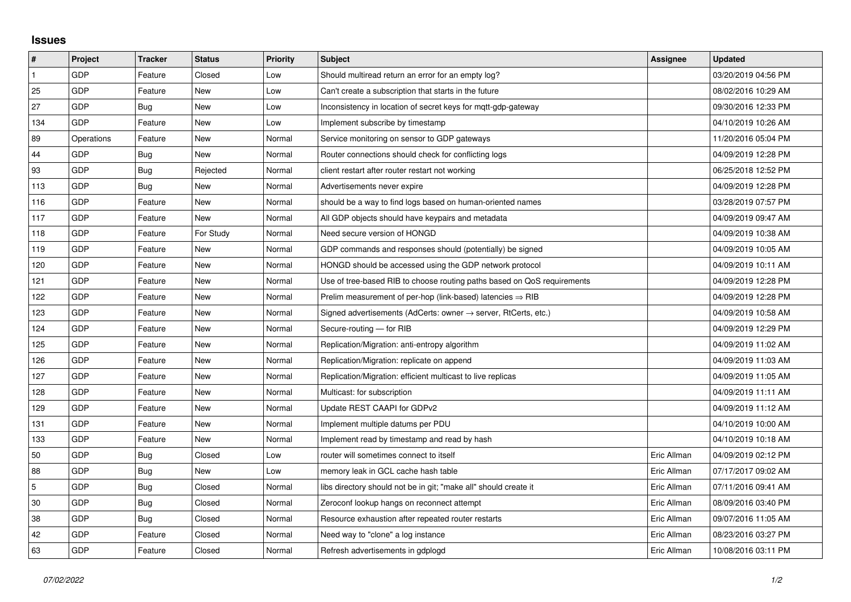## **Issues**

| $\vert$ #      | Project    | <b>Tracker</b> | <b>Status</b> | <b>Priority</b> | <b>Subject</b>                                                             | Assignee    | <b>Updated</b>      |
|----------------|------------|----------------|---------------|-----------------|----------------------------------------------------------------------------|-------------|---------------------|
| $\mathbf{1}$   | GDP        | Feature        | Closed        | Low             | Should multiread return an error for an empty log?                         |             | 03/20/2019 04:56 PM |
| 25             | GDP        | Feature        | New           | Low             | Can't create a subscription that starts in the future                      |             | 08/02/2016 10:29 AM |
| 27             | GDP        | Bug            | New           | Low             | Inconsistency in location of secret keys for mgtt-gdp-gateway              |             | 09/30/2016 12:33 PM |
| 134            | GDP        | Feature        | <b>New</b>    | Low             | Implement subscribe by timestamp                                           |             | 04/10/2019 10:26 AM |
| 89             | Operations | Feature        | <b>New</b>    | Normal          | Service monitoring on sensor to GDP gateways                               |             | 11/20/2016 05:04 PM |
| 44             | GDP        | Bug            | New           | Normal          | Router connections should check for conflicting logs                       |             | 04/09/2019 12:28 PM |
| 93             | GDP        | Bug            | Rejected      | Normal          | client restart after router restart not working                            |             | 06/25/2018 12:52 PM |
| 113            | GDP        | Bug            | New           | Normal          | Advertisements never expire                                                |             | 04/09/2019 12:28 PM |
| 116            | GDP        | Feature        | New           | Normal          | should be a way to find logs based on human-oriented names                 |             | 03/28/2019 07:57 PM |
| 117            | GDP        | Feature        | <b>New</b>    | Normal          | All GDP objects should have keypairs and metadata                          |             | 04/09/2019 09:47 AM |
| 118            | GDP        | Feature        | For Study     | Normal          | Need secure version of HONGD                                               |             | 04/09/2019 10:38 AM |
| 119            | GDP        | Feature        | New           | Normal          | GDP commands and responses should (potentially) be signed                  |             | 04/09/2019 10:05 AM |
| 120            | GDP        | Feature        | <b>New</b>    | Normal          | HONGD should be accessed using the GDP network protocol                    |             | 04/09/2019 10:11 AM |
| 121            | GDP        | Feature        | New           | Normal          | Use of tree-based RIB to choose routing paths based on QoS requirements    |             | 04/09/2019 12:28 PM |
| 122            | GDP        | Feature        | New           | Normal          | Prelim measurement of per-hop (link-based) latencies $\Rightarrow$ RIB     |             | 04/09/2019 12:28 PM |
| 123            | GDP        | Feature        | New           | Normal          | Signed advertisements (AdCerts: owner $\rightarrow$ server, RtCerts, etc.) |             | 04/09/2019 10:58 AM |
| 124            | GDP        | Feature        | New           | Normal          | Secure-routing - for RIB                                                   |             | 04/09/2019 12:29 PM |
| 125            | GDP        | Feature        | New           | Normal          | Replication/Migration: anti-entropy algorithm                              |             | 04/09/2019 11:02 AM |
| 126            | GDP        | Feature        | <b>New</b>    | Normal          | Replication/Migration: replicate on append                                 |             | 04/09/2019 11:03 AM |
| 127            | GDP        | Feature        | New           | Normal          | Replication/Migration: efficient multicast to live replicas                |             | 04/09/2019 11:05 AM |
| 128            | GDP        | Feature        | New           | Normal          | Multicast: for subscription                                                |             | 04/09/2019 11:11 AM |
| 129            | GDP        | Feature        | <b>New</b>    | Normal          | Update REST CAAPI for GDPv2                                                |             | 04/09/2019 11:12 AM |
| 131            | GDP        | Feature        | New           | Normal          | Implement multiple datums per PDU                                          |             | 04/10/2019 10:00 AM |
| 133            | GDP        | Feature        | <b>New</b>    | Normal          | Implement read by timestamp and read by hash                               |             | 04/10/2019 10:18 AM |
| 50             | GDP        | Bug            | Closed        | Low             | router will sometimes connect to itself                                    | Eric Allman | 04/09/2019 02:12 PM |
| 88             | GDP        | Bug            | New           | Low             | memory leak in GCL cache hash table                                        | Eric Allman | 07/17/2017 09:02 AM |
| $\overline{5}$ | GDP        | <b>Bug</b>     | Closed        | Normal          | libs directory should not be in git; "make all" should create it           | Eric Allman | 07/11/2016 09:41 AM |
| 30             | GDP        | Bug            | Closed        | Normal          | Zeroconf lookup hangs on reconnect attempt                                 | Eric Allman | 08/09/2016 03:40 PM |
| 38             | GDP        | <b>Bug</b>     | Closed        | Normal          | Resource exhaustion after repeated router restarts                         | Eric Allman | 09/07/2016 11:05 AM |
| 42             | GDP        | Feature        | Closed        | Normal          | Need way to "clone" a log instance                                         | Eric Allman | 08/23/2016 03:27 PM |
| 63             | GDP        | Feature        | Closed        | Normal          | Refresh advertisements in gdplogd                                          | Eric Allman | 10/08/2016 03:11 PM |